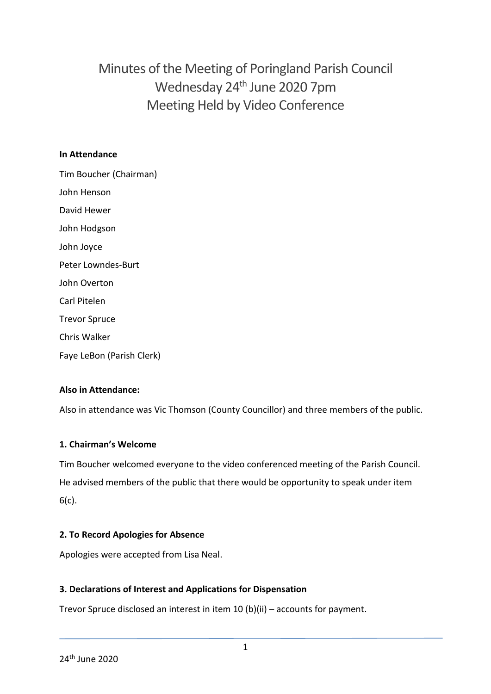Minutes of the Meeting of Poringland Parish Council Wednesday 24<sup>th</sup> June 2020 7pm Meeting Held by Video Conference

### **In Attendance**

Tim Boucher (Chairman) John Henson David Hewer John Hodgson John Joyce Peter Lowndes-Burt John Overton Carl Pitelen Trevor Spruce Chris Walker Faye LeBon (Parish Clerk)

### **Also in Attendance:**

Also in attendance was Vic Thomson (County Councillor) and three members of the public.

### **1. Chairman's Welcome**

Tim Boucher welcomed everyone to the video conferenced meeting of the Parish Council. He advised members of the public that there would be opportunity to speak under item 6(c).

### **2. To Record Apologies for Absence**

Apologies were accepted from Lisa Neal.

### **3. Declarations of Interest and Applications for Dispensation**

Trevor Spruce disclosed an interest in item 10 (b)(ii) – accounts for payment.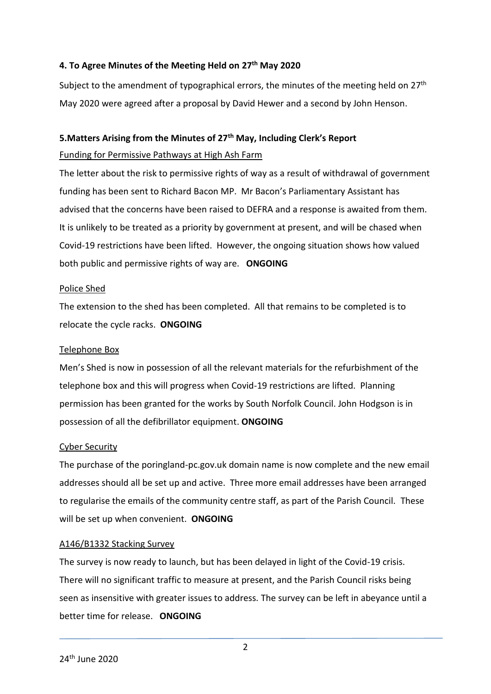### **4. To Agree Minutes of the Meeting Held on 27th May 2020**

Subject to the amendment of typographical errors, the minutes of the meeting held on 27<sup>th</sup> May 2020 were agreed after a proposal by David Hewer and a second by John Henson.

### **5.Matters Arising from the Minutes of 27th May, Including Clerk's Report**

#### Funding for Permissive Pathways at High Ash Farm

The letter about the risk to permissive rights of way as a result of withdrawal of government funding has been sent to Richard Bacon MP. Mr Bacon's Parliamentary Assistant has advised that the concerns have been raised to DEFRA and a response is awaited from them. It is unlikely to be treated as a priority by government at present, and will be chased when Covid-19 restrictions have been lifted. However, the ongoing situation shows how valued both public and permissive rights of way are. **ONGOING**

### Police Shed

The extension to the shed has been completed. All that remains to be completed is to relocate the cycle racks. **ONGOING**

#### Telephone Box

Men's Shed is now in possession of all the relevant materials for the refurbishment of the telephone box and this will progress when Covid-19 restrictions are lifted. Planning permission has been granted for the works by South Norfolk Council. John Hodgson is in possession of all the defibrillator equipment. **ONGOING**

#### Cyber Security

The purchase of the poringland-pc.gov.uk domain name is now complete and the new email addresses should all be set up and active. Three more email addresses have been arranged to regularise the emails of the community centre staff, as part of the Parish Council. These will be set up when convenient. **ONGOING**

### A146/B1332 Stacking Survey

The survey is now ready to launch, but has been delayed in light of the Covid-19 crisis. There will no significant traffic to measure at present, and the Parish Council risks being seen as insensitive with greater issues to address. The survey can be left in abeyance until a better time for release. **ONGOING**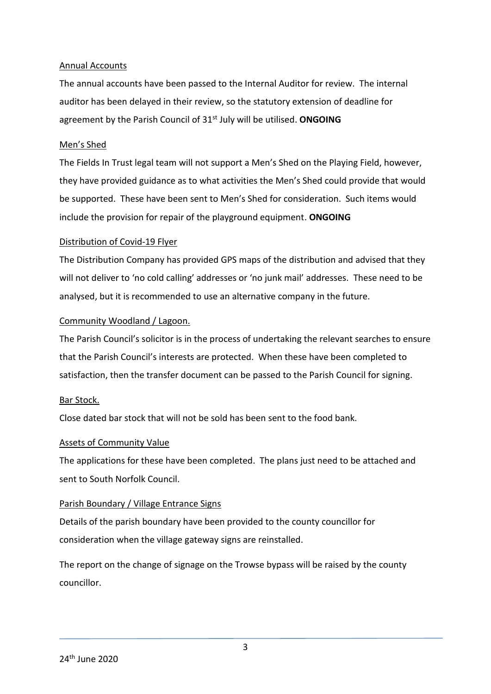### Annual Accounts

The annual accounts have been passed to the Internal Auditor for review. The internal auditor has been delayed in their review, so the statutory extension of deadline for agreement by the Parish Council of 31st July will be utilised. **ONGOING**

### Men's Shed

The Fields In Trust legal team will not support a Men's Shed on the Playing Field, however, they have provided guidance as to what activities the Men's Shed could provide that would be supported. These have been sent to Men's Shed for consideration. Such items would include the provision for repair of the playground equipment. **ONGOING**

### Distribution of Covid-19 Flyer

The Distribution Company has provided GPS maps of the distribution and advised that they will not deliver to 'no cold calling' addresses or 'no junk mail' addresses. These need to be analysed, but it is recommended to use an alternative company in the future.

### Community Woodland / Lagoon.

The Parish Council's solicitor is in the process of undertaking the relevant searches to ensure that the Parish Council's interests are protected. When these have been completed to satisfaction, then the transfer document can be passed to the Parish Council for signing.

#### Bar Stock.

Close dated bar stock that will not be sold has been sent to the food bank.

#### Assets of Community Value

The applications for these have been completed. The plans just need to be attached and sent to South Norfolk Council.

### Parish Boundary / Village Entrance Signs

Details of the parish boundary have been provided to the county councillor for consideration when the village gateway signs are reinstalled.

The report on the change of signage on the Trowse bypass will be raised by the county councillor.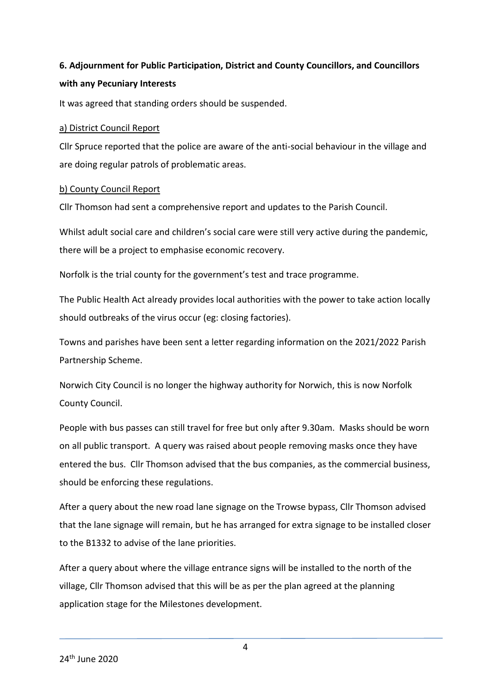# **6. Adjournment for Public Participation, District and County Councillors, and Councillors with any Pecuniary Interests**

It was agreed that standing orders should be suspended.

### a) District Council Report

Cllr Spruce reported that the police are aware of the anti-social behaviour in the village and are doing regular patrols of problematic areas.

### b) County Council Report

Cllr Thomson had sent a comprehensive report and updates to the Parish Council.

Whilst adult social care and children's social care were still very active during the pandemic, there will be a project to emphasise economic recovery.

Norfolk is the trial county for the government's test and trace programme.

The Public Health Act already provides local authorities with the power to take action locally should outbreaks of the virus occur (eg: closing factories).

Towns and parishes have been sent a letter regarding information on the 2021/2022 Parish Partnership Scheme.

Norwich City Council is no longer the highway authority for Norwich, this is now Norfolk County Council.

People with bus passes can still travel for free but only after 9.30am. Masks should be worn on all public transport. A query was raised about people removing masks once they have entered the bus. Cllr Thomson advised that the bus companies, as the commercial business, should be enforcing these regulations.

After a query about the new road lane signage on the Trowse bypass, Cllr Thomson advised that the lane signage will remain, but he has arranged for extra signage to be installed closer to the B1332 to advise of the lane priorities.

After a query about where the village entrance signs will be installed to the north of the village, Cllr Thomson advised that this will be as per the plan agreed at the planning application stage for the Milestones development.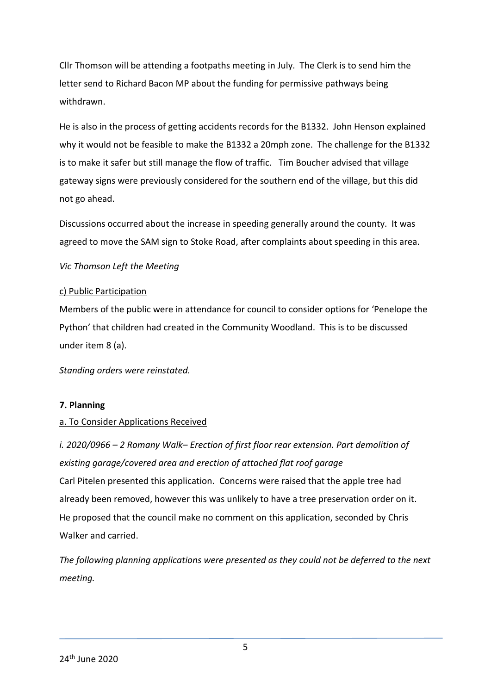Cllr Thomson will be attending a footpaths meeting in July. The Clerk is to send him the letter send to Richard Bacon MP about the funding for permissive pathways being withdrawn.

He is also in the process of getting accidents records for the B1332. John Henson explained why it would not be feasible to make the B1332 a 20mph zone. The challenge for the B1332 is to make it safer but still manage the flow of traffic. Tim Boucher advised that village gateway signs were previously considered for the southern end of the village, but this did not go ahead.

Discussions occurred about the increase in speeding generally around the county. It was agreed to move the SAM sign to Stoke Road, after complaints about speeding in this area.

### *Vic Thomson Left the Meeting*

## c) Public Participation

Members of the public were in attendance for council to consider options for 'Penelope the Python' that children had created in the Community Woodland. This is to be discussed under item 8 (a).

*Standing orders were reinstated.* 

### **7. Planning**

# a. To Consider Applications Received

*i. 2020/0966 – 2 Romany Walk– Erection of first floor rear extension. Part demolition of existing garage/covered area and erection of attached flat roof garage* Carl Pitelen presented this application. Concerns were raised that the apple tree had already been removed, however this was unlikely to have a tree preservation order on it. He proposed that the council make no comment on this application, seconded by Chris Walker and carried.

*The following planning applications were presented as they could not be deferred to the next meeting.*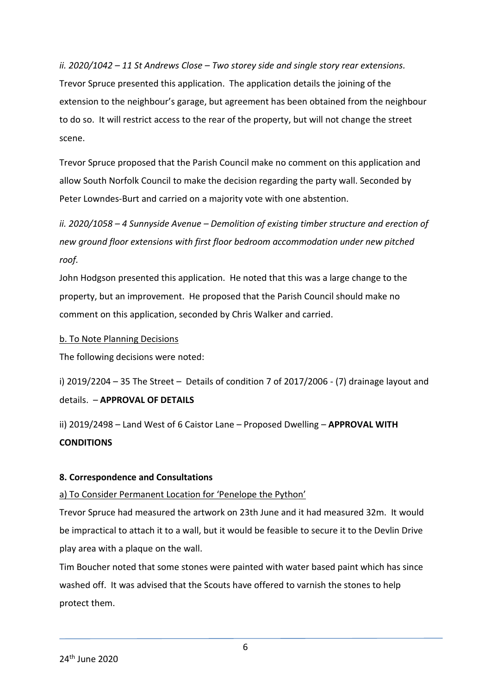*ii. 2020/1042 – 11 St Andrews Close – Two storey side and single story rear extensions.* Trevor Spruce presented this application. The application details the joining of the extension to the neighbour's garage, but agreement has been obtained from the neighbour to do so. It will restrict access to the rear of the property, but will not change the street scene.

Trevor Spruce proposed that the Parish Council make no comment on this application and allow South Norfolk Council to make the decision regarding the party wall. Seconded by Peter Lowndes-Burt and carried on a majority vote with one abstention.

*ii. 2020/1058 – 4 Sunnyside Avenue – Demolition of existing timber structure and erection of new ground floor extensions with first floor bedroom accommodation under new pitched roof.*

John Hodgson presented this application. He noted that this was a large change to the property, but an improvement. He proposed that the Parish Council should make no comment on this application, seconded by Chris Walker and carried.

### b. To Note Planning Decisions

The following decisions were noted:

i)  $2019/2204 - 35$  The Street – Details of condition 7 of  $2017/2006$  - (7) drainage layout and details. – **APPROVAL OF DETAILS**

ii) 2019/2498 – Land West of 6 Caistor Lane – Proposed Dwelling – **APPROVAL WITH CONDITIONS**

### **8. Correspondence and Consultations**

### a) To Consider Permanent Location for 'Penelope the Python'

Trevor Spruce had measured the artwork on 23th June and it had measured 32m. It would be impractical to attach it to a wall, but it would be feasible to secure it to the Devlin Drive play area with a plaque on the wall.

Tim Boucher noted that some stones were painted with water based paint which has since washed off. It was advised that the Scouts have offered to varnish the stones to help protect them.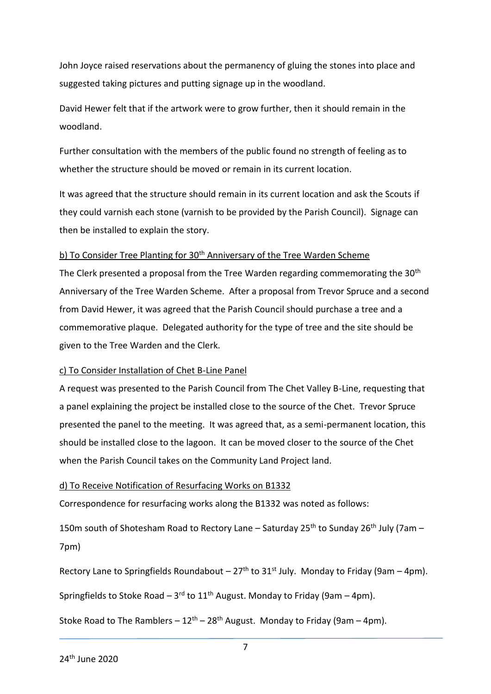John Joyce raised reservations about the permanency of gluing the stones into place and suggested taking pictures and putting signage up in the woodland.

David Hewer felt that if the artwork were to grow further, then it should remain in the woodland.

Further consultation with the members of the public found no strength of feeling as to whether the structure should be moved or remain in its current location.

It was agreed that the structure should remain in its current location and ask the Scouts if they could varnish each stone (varnish to be provided by the Parish Council). Signage can then be installed to explain the story.

### b) To Consider Tree Planting for 30<sup>th</sup> Anniversary of the Tree Warden Scheme

The Clerk presented a proposal from the Tree Warden regarding commemorating the 30<sup>th</sup> Anniversary of the Tree Warden Scheme. After a proposal from Trevor Spruce and a second from David Hewer, it was agreed that the Parish Council should purchase a tree and a commemorative plaque. Delegated authority for the type of tree and the site should be given to the Tree Warden and the Clerk.

#### c) To Consider Installation of Chet B-Line Panel

A request was presented to the Parish Council from The Chet Valley B-Line, requesting that a panel explaining the project be installed close to the source of the Chet. Trevor Spruce presented the panel to the meeting. It was agreed that, as a semi-permanent location, this should be installed close to the lagoon. It can be moved closer to the source of the Chet when the Parish Council takes on the Community Land Project land.

### d) To Receive Notification of Resurfacing Works on B1332

Correspondence for resurfacing works along the B1332 was noted as follows:

150m south of Shotesham Road to Rectory Lane – Saturday 25<sup>th</sup> to Sunday 26<sup>th</sup> July (7am – 7pm)

Rectory Lane to Springfields Roundabout –  $27<sup>th</sup>$  to  $31<sup>st</sup>$  July. Monday to Friday (9am – 4pm).

Springfields to Stoke Road – 3<sup>rd</sup> to 11<sup>th</sup> August. Monday to Friday (9am – 4pm).

Stoke Road to The Ramblers –  $12^{th}$  –  $28^{th}$  August. Monday to Friday (9am – 4pm).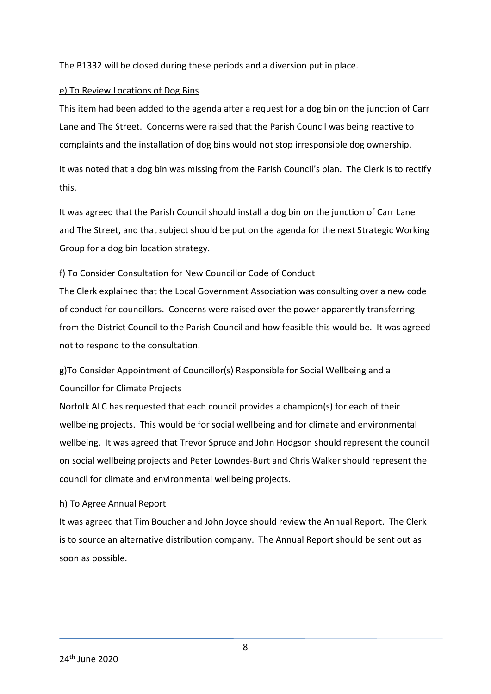The B1332 will be closed during these periods and a diversion put in place.

## e) To Review Locations of Dog Bins

This item had been added to the agenda after a request for a dog bin on the junction of Carr Lane and The Street. Concerns were raised that the Parish Council was being reactive to complaints and the installation of dog bins would not stop irresponsible dog ownership.

It was noted that a dog bin was missing from the Parish Council's plan. The Clerk is to rectify this.

It was agreed that the Parish Council should install a dog bin on the junction of Carr Lane and The Street, and that subject should be put on the agenda for the next Strategic Working Group for a dog bin location strategy.

## f) To Consider Consultation for New Councillor Code of Conduct

The Clerk explained that the Local Government Association was consulting over a new code of conduct for councillors. Concerns were raised over the power apparently transferring from the District Council to the Parish Council and how feasible this would be. It was agreed not to respond to the consultation.

# g)To Consider Appointment of Councillor(s) Responsible for Social Wellbeing and a Councillor for Climate Projects

Norfolk ALC has requested that each council provides a champion(s) for each of their wellbeing projects. This would be for social wellbeing and for climate and environmental wellbeing. It was agreed that Trevor Spruce and John Hodgson should represent the council on social wellbeing projects and Peter Lowndes-Burt and Chris Walker should represent the council for climate and environmental wellbeing projects.

# h) To Agree Annual Report

It was agreed that Tim Boucher and John Joyce should review the Annual Report. The Clerk is to source an alternative distribution company. The Annual Report should be sent out as soon as possible.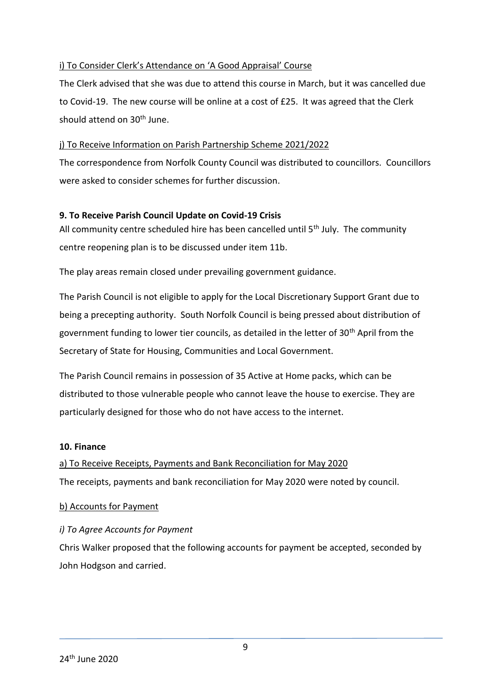## i) To Consider Clerk's Attendance on 'A Good Appraisal' Course

The Clerk advised that she was due to attend this course in March, but it was cancelled due to Covid-19. The new course will be online at a cost of £25. It was agreed that the Clerk should attend on 30<sup>th</sup> June.

### j) To Receive Information on Parish Partnership Scheme 2021/2022

The correspondence from Norfolk County Council was distributed to councillors. Councillors were asked to consider schemes for further discussion.

## **9. To Receive Parish Council Update on Covid-19 Crisis**

All community centre scheduled hire has been cancelled until  $5<sup>th</sup>$  July. The community centre reopening plan is to be discussed under item 11b.

The play areas remain closed under prevailing government guidance.

The Parish Council is not eligible to apply for the Local Discretionary Support Grant due to being a precepting authority. South Norfolk Council is being pressed about distribution of government funding to lower tier councils, as detailed in the letter of 30<sup>th</sup> April from the Secretary of State for Housing, Communities and Local Government.

The Parish Council remains in possession of 35 Active at Home packs, which can be distributed to those vulnerable people who cannot leave the house to exercise. They are particularly designed for those who do not have access to the internet.

### **10. Finance**

# a) To Receive Receipts, Payments and Bank Reconciliation for May 2020 The receipts, payments and bank reconciliation for May 2020 were noted by council.

### b) Accounts for Payment

# *i) To Agree Accounts for Payment*

Chris Walker proposed that the following accounts for payment be accepted, seconded by John Hodgson and carried.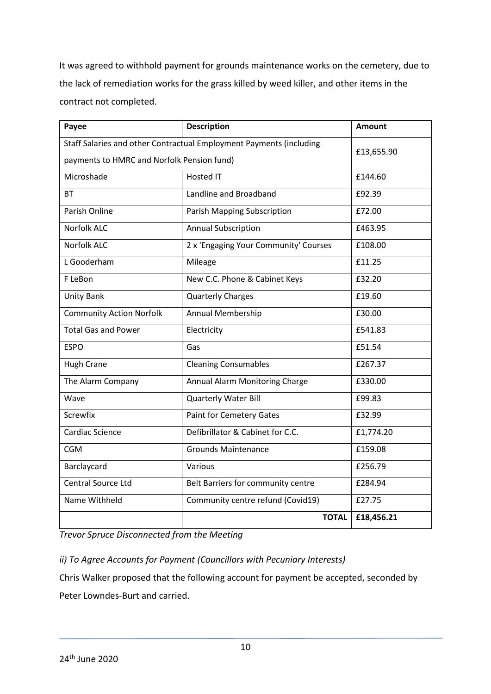It was agreed to withhold payment for grounds maintenance works on the cemetery, due to the lack of remediation works for the grass killed by weed killer, and other items in the contract not completed.

| Payee                                                               | <b>Description</b>                    | <b>Amount</b> |
|---------------------------------------------------------------------|---------------------------------------|---------------|
| Staff Salaries and other Contractual Employment Payments (including |                                       | £13,655.90    |
| payments to HMRC and Norfolk Pension fund)                          |                                       |               |
| Microshade                                                          | Hosted IT                             | £144.60       |
| <b>BT</b>                                                           | Landline and Broadband                | £92.39        |
| Parish Online                                                       | Parish Mapping Subscription           | £72.00        |
| <b>Norfolk ALC</b>                                                  | <b>Annual Subscription</b>            | £463.95       |
| <b>Norfolk ALC</b>                                                  | 2 x 'Engaging Your Community' Courses | £108.00       |
| L Gooderham                                                         | Mileage                               | £11.25        |
| F LeBon                                                             | New C.C. Phone & Cabinet Keys         | £32.20        |
| <b>Unity Bank</b>                                                   | <b>Quarterly Charges</b>              | £19.60        |
| <b>Community Action Norfolk</b>                                     | Annual Membership                     | £30.00        |
| <b>Total Gas and Power</b>                                          | Electricity                           | £541.83       |
| <b>ESPO</b>                                                         | Gas                                   | £51.54        |
| <b>Hugh Crane</b>                                                   | <b>Cleaning Consumables</b>           | £267.37       |
| The Alarm Company                                                   | Annual Alarm Monitoring Charge        | £330.00       |
| Wave                                                                | Quarterly Water Bill                  | £99.83        |
| Screwfix                                                            | <b>Paint for Cemetery Gates</b>       | £32.99        |
| Cardiac Science                                                     | Defibrillator & Cabinet for C.C.      | £1,774.20     |
| <b>CGM</b>                                                          | <b>Grounds Maintenance</b>            | £159.08       |
| Barclaycard                                                         | Various                               | £256.79       |
| Central Source Ltd                                                  | Belt Barriers for community centre    | £284.94       |
| Name Withheld                                                       | Community centre refund (Covid19)     | £27.75        |
|                                                                     | <b>TOTAL</b>                          | £18,456.21    |

*Trevor Spruce Disconnected from the Meeting*

*ii) To Agree Accounts for Payment (Councillors with Pecuniary Interests)*

Chris Walker proposed that the following account for payment be accepted, seconded by Peter Lowndes-Burt and carried.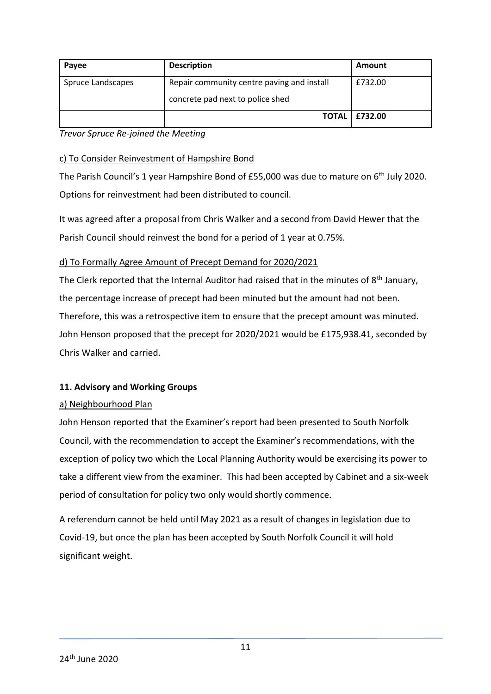| Payee             | <b>Description</b>                         | Amount                 |
|-------------------|--------------------------------------------|------------------------|
| Spruce Landscapes | Repair community centre paving and install | £732.00                |
|                   | concrete pad next to police shed           |                        |
|                   |                                            | <b>TOTAL   £732.00</b> |

*Trevor Spruce Re-joined the Meeting*

### c) To Consider Reinvestment of Hampshire Bond

The Parish Council's 1 year Hampshire Bond of £55,000 was due to mature on 6<sup>th</sup> July 2020. Options for reinvestment had been distributed to council.

It was agreed after a proposal from Chris Walker and a second from David Hewer that the Parish Council should reinvest the bond for a period of 1 year at 0.75%.

## d) To Formally Agree Amount of Precept Demand for 2020/2021

The Clerk reported that the Internal Auditor had raised that in the minutes of 8<sup>th</sup> January, the percentage increase of precept had been minuted but the amount had not been. Therefore, this was a retrospective item to ensure that the precept amount was minuted. John Henson proposed that the precept for 2020/2021 would be £175,938.41, seconded by Chris Walker and carried.

### **11. Advisory and Working Groups**

### a) Neighbourhood Plan

John Henson reported that the Examiner's report had been presented to South Norfolk Council, with the recommendation to accept the Examiner's recommendations, with the exception of policy two which the Local Planning Authority would be exercising its power to take a different view from the examiner. This had been accepted by Cabinet and a six-week period of consultation for policy two only would shortly commence.

A referendum cannot be held until May 2021 as a result of changes in legislation due to Covid-19, but once the plan has been accepted by South Norfolk Council it will hold significant weight.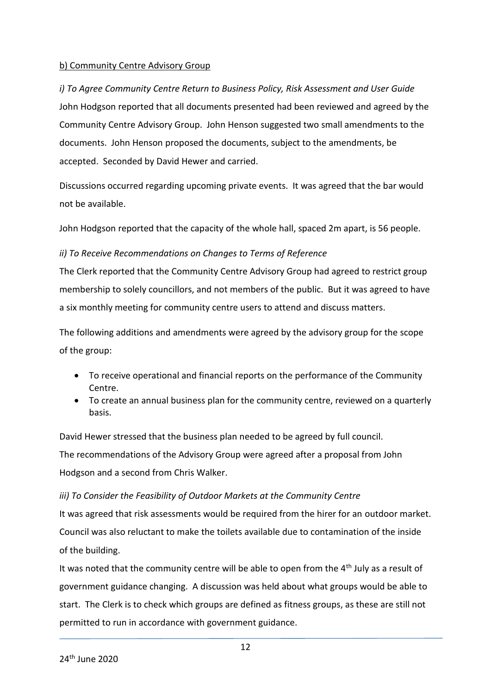## b) Community Centre Advisory Group

*i) To Agree Community Centre Return to Business Policy, Risk Assessment and User Guide* John Hodgson reported that all documents presented had been reviewed and agreed by the Community Centre Advisory Group. John Henson suggested two small amendments to the documents. John Henson proposed the documents, subject to the amendments, be accepted. Seconded by David Hewer and carried.

Discussions occurred regarding upcoming private events. It was agreed that the bar would not be available.

John Hodgson reported that the capacity of the whole hall, spaced 2m apart, is 56 people.

# *ii) To Receive Recommendations on Changes to Terms of Reference*

The Clerk reported that the Community Centre Advisory Group had agreed to restrict group membership to solely councillors, and not members of the public. But it was agreed to have a six monthly meeting for community centre users to attend and discuss matters.

The following additions and amendments were agreed by the advisory group for the scope of the group:

- To receive operational and financial reports on the performance of the Community Centre.
- To create an annual business plan for the community centre, reviewed on a quarterly basis.

David Hewer stressed that the business plan needed to be agreed by full council. The recommendations of the Advisory Group were agreed after a proposal from John Hodgson and a second from Chris Walker.

# *iii) To Consider the Feasibility of Outdoor Markets at the Community Centre*

It was agreed that risk assessments would be required from the hirer for an outdoor market. Council was also reluctant to make the toilets available due to contamination of the inside of the building.

It was noted that the community centre will be able to open from the  $4<sup>th</sup>$  July as a result of government guidance changing. A discussion was held about what groups would be able to start. The Clerk is to check which groups are defined as fitness groups, as these are still not permitted to run in accordance with government guidance.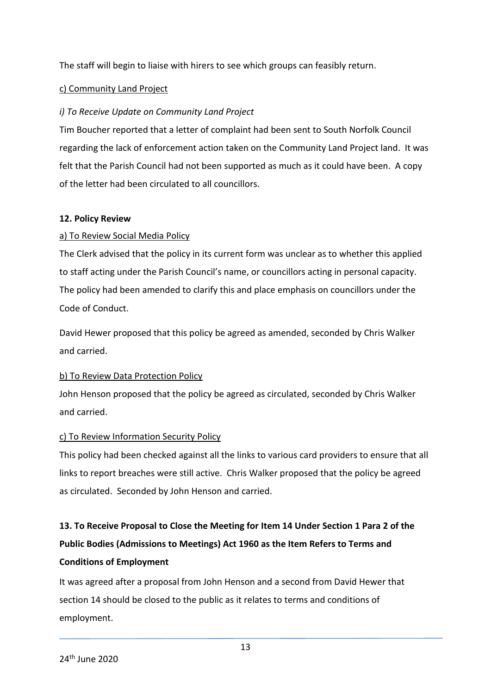The staff will begin to liaise with hirers to see which groups can feasibly return.

### c) Community Land Project

## *i) To Receive Update on Community Land Project*

Tim Boucher reported that a letter of complaint had been sent to South Norfolk Council regarding the lack of enforcement action taken on the Community Land Project land. It was felt that the Parish Council had not been supported as much as it could have been. A copy of the letter had been circulated to all councillors.

### **12. Policy Review**

## a) To Review Social Media Policy

The Clerk advised that the policy in its current form was unclear as to whether this applied to staff acting under the Parish Council's name, or councillors acting in personal capacity. The policy had been amended to clarify this and place emphasis on councillors under the Code of Conduct.

David Hewer proposed that this policy be agreed as amended, seconded by Chris Walker and carried.

### b) To Review Data Protection Policy

John Henson proposed that the policy be agreed as circulated, seconded by Chris Walker and carried.

### c) To Review Information Security Policy

This policy had been checked against all the links to various card providers to ensure that all links to report breaches were still active. Chris Walker proposed that the policy be agreed as circulated. Seconded by John Henson and carried.

# **13. To Receive Proposal to Close the Meeting for Item 14 Under Section 1 Para 2 of the Public Bodies (Admissions to Meetings) Act 1960 as the Item Refers to Terms and Conditions of Employment**

It was agreed after a proposal from John Henson and a second from David Hewer that section 14 should be closed to the public as it relates to terms and conditions of employment.